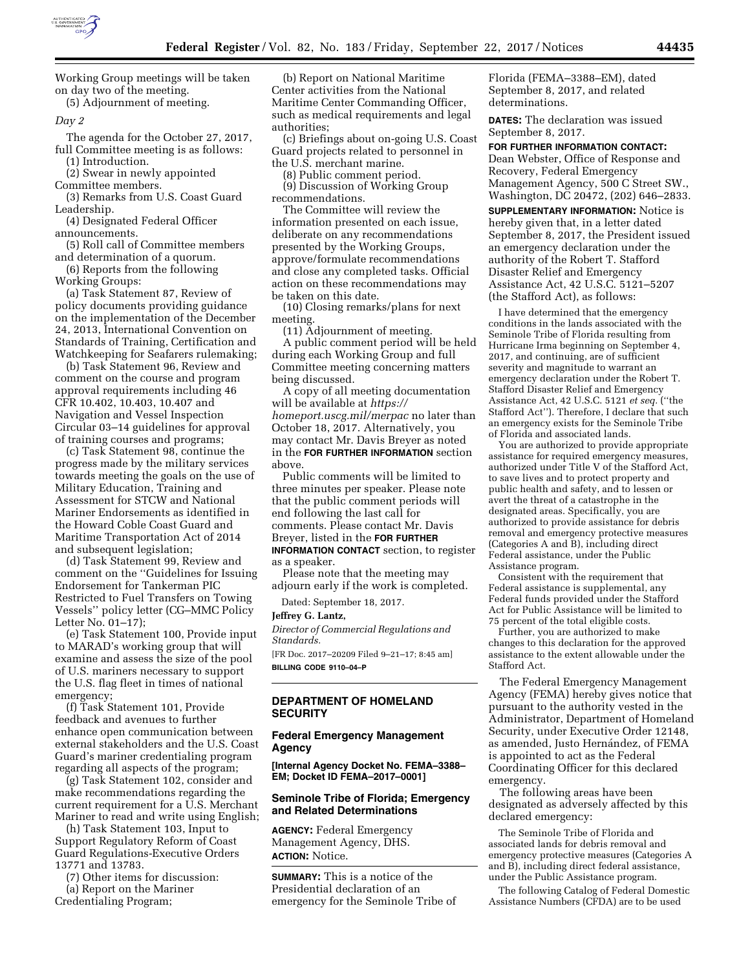

Working Group meetings will be taken on day two of the meeting.

(5) Adjournment of meeting.

# *Day 2*

The agenda for the October 27, 2017, full Committee meeting is as follows:

(1) Introduction.

(2) Swear in newly appointed

Committee members.

(3) Remarks from U.S. Coast Guard Leadership.

(4) Designated Federal Officer announcements.

(5) Roll call of Committee members and determination of a quorum.

(6) Reports from the following Working Groups:

(a) Task Statement 87, Review of policy documents providing guidance on the implementation of the December 24, 2013, International Convention on Standards of Training, Certification and Watchkeeping for Seafarers rulemaking;

(b) Task Statement 96, Review and comment on the course and program approval requirements including 46 CFR 10.402, 10.403, 10.407 and Navigation and Vessel Inspection Circular 03–14 guidelines for approval of training courses and programs;

(c) Task Statement 98, continue the progress made by the military services towards meeting the goals on the use of Military Education, Training and Assessment for STCW and National Mariner Endorsements as identified in the Howard Coble Coast Guard and Maritime Transportation Act of 2014 and subsequent legislation;

(d) Task Statement 99, Review and comment on the ''Guidelines for Issuing Endorsement for Tankerman PIC Restricted to Fuel Transfers on Towing Vessels'' policy letter (CG–MMC Policy Letter No. 01–17);

(e) Task Statement 100, Provide input to MARAD's working group that will examine and assess the size of the pool of U.S. mariners necessary to support the U.S. flag fleet in times of national emergency;

(f) Task Statement 101, Provide feedback and avenues to further enhance open communication between external stakeholders and the U.S. Coast Guard's mariner credentialing program regarding all aspects of the program;

(g) Task Statement 102, consider and make recommendations regarding the current requirement for a U.S. Merchant Mariner to read and write using English;

(h) Task Statement 103, Input to Support Regulatory Reform of Coast Guard Regulations-Executive Orders 13771 and 13783.

(7) Other items for discussion:

(a) Report on the Mariner Credentialing Program;

(b) Report on National Maritime Center activities from the National Maritime Center Commanding Officer, such as medical requirements and legal authorities;

(c) Briefings about on-going U.S. Coast Guard projects related to personnel in the U.S. merchant marine.

(8) Public comment period.

(9) Discussion of Working Group recommendations.

The Committee will review the information presented on each issue, deliberate on any recommendations presented by the Working Groups, approve/formulate recommendations and close any completed tasks. Official action on these recommendations may be taken on this date.

(10) Closing remarks/plans for next meeting.

(11) Adjournment of meeting. A public comment period will be held during each Working Group and full Committee meeting concerning matters being discussed.

A copy of all meeting documentation will be available at *[https://](https://homeport.uscg.mil/merpac) [homeport.uscg.mil/merpac](https://homeport.uscg.mil/merpac)* no later than October 18, 2017. Alternatively, you may contact Mr. Davis Breyer as noted in the **FOR FURTHER INFORMATION** section above.

Public comments will be limited to three minutes per speaker. Please note that the public comment periods will end following the last call for comments. Please contact Mr. Davis Breyer, listed in the **FOR FURTHER INFORMATION CONTACT** section, to register as a speaker.

Please note that the meeting may adjourn early if the work is completed.

Dated: September 18, 2017.

#### **Jeffrey G. Lantz,**

*Director of Commercial Regulations and Standards.* 

[FR Doc. 2017–20209 Filed 9–21–17; 8:45 am] **BILLING CODE 9110–04–P** 

# **DEPARTMENT OF HOMELAND SECURITY**

#### **Federal Emergency Management Agency**

## **[Internal Agency Docket No. FEMA–3388– EM; Docket ID FEMA–2017–0001]**

## **Seminole Tribe of Florida; Emergency and Related Determinations**

**AGENCY:** Federal Emergency Management Agency, DHS. **ACTION:** Notice.

**SUMMARY:** This is a notice of the Presidential declaration of an emergency for the Seminole Tribe of Florida (FEMA–3388–EM), dated September 8, 2017, and related determinations.

**DATES:** The declaration was issued September 8, 2017.

**FOR FURTHER INFORMATION CONTACT:**  Dean Webster, Office of Response and Recovery, Federal Emergency Management Agency, 500 C Street SW., Washington, DC 20472, (202) 646–2833.

**SUPPLEMENTARY INFORMATION:** Notice is hereby given that, in a letter dated September 8, 2017, the President issued an emergency declaration under the authority of the Robert T. Stafford Disaster Relief and Emergency Assistance Act, 42 U.S.C. 5121–5207 (the Stafford Act), as follows:

I have determined that the emergency conditions in the lands associated with the Seminole Tribe of Florida resulting from Hurricane Irma beginning on September 4, 2017, and continuing, are of sufficient severity and magnitude to warrant an emergency declaration under the Robert T. Stafford Disaster Relief and Emergency Assistance Act, 42 U.S.C. 5121 *et seq.* (''the Stafford Act''). Therefore, I declare that such an emergency exists for the Seminole Tribe of Florida and associated lands.

You are authorized to provide appropriate assistance for required emergency measures, authorized under Title V of the Stafford Act, to save lives and to protect property and public health and safety, and to lessen or avert the threat of a catastrophe in the designated areas. Specifically, you are authorized to provide assistance for debris removal and emergency protective measures (Categories A and B), including direct Federal assistance, under the Public Assistance program.

Consistent with the requirement that Federal assistance is supplemental, any Federal funds provided under the Stafford Act for Public Assistance will be limited to 75 percent of the total eligible costs.

Further, you are authorized to make changes to this declaration for the approved assistance to the extent allowable under the Stafford Act.

The Federal Emergency Management Agency (FEMA) hereby gives notice that pursuant to the authority vested in the Administrator, Department of Homeland Security, under Executive Order 12148, as amended, Justo Hernández, of FEMA is appointed to act as the Federal Coordinating Officer for this declared emergency.

The following areas have been designated as adversely affected by this declared emergency:

The Seminole Tribe of Florida and associated lands for debris removal and emergency protective measures (Categories A and B), including direct federal assistance, under the Public Assistance program.

The following Catalog of Federal Domestic Assistance Numbers (CFDA) are to be used